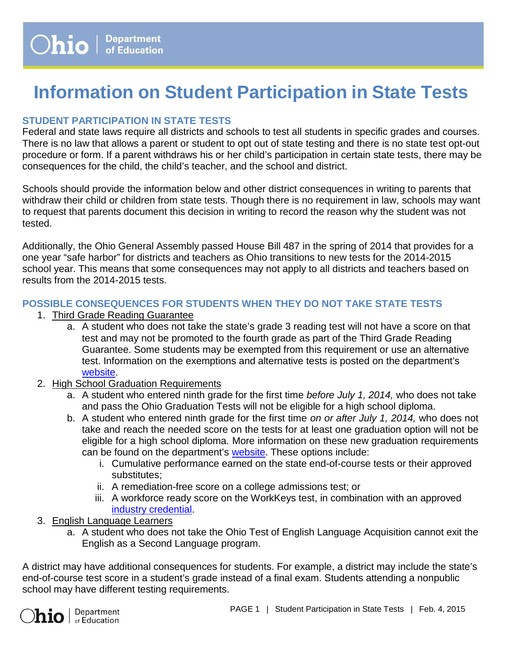# **Information on Student Participation in State Tests**

## **STUDENT PARTICIPATION IN STATE TESTS**

Federal and state laws require all districts and schools to test all students in specific grades and courses. There is no law that allows a parent or student to opt out of state testing and there is no state test opt-out procedure or form. If a parent withdraws his or her child's participation in certain state tests, there may be consequences for the child, the child's teacher, and the school and district.

Schools should provide the information below and other district consequences in writing to parents that withdraw their child or children from state tests. Though there is no requirement in law, schools may want to request that parents document this decision in writing to record the reason why the student was not tested.

Additionally, the Ohio General Assembly passed House Bill 487 in the spring of 2014 that provides for a one year "safe harbor" for districts and teachers as Ohio transitions to new tests for the 2014-2015 school year. This means that some consequences may not apply to all districts and teachers based on results from the 2014-2015 tests.

## **POSSIBLE CONSEQUENCES FOR STUDENTS WHEN THEY DO NOT TAKE STATE TESTS**

- 1. Third Grade Reading Guarantee
	- a. A student who does not take the state's grade 3 reading test will not have a score on that test and may not be promoted to the fourth grade as part of the Third Grade Reading Guarantee. Some students may be exempted from this requirement or use an alternative test. Information on the exemptions and alternative tests is posted on the department's [website.](http://education.ohio.gov/Topics/Early-Learning/Third-Grade-Reading-Guarantee)
- 2. High School Graduation Requirements
	- a. A student who entered ninth grade for the first time *before July 1, 2014,* who does not take and pass the Ohio Graduation Tests will not be eligible for a high school diploma.
	- b. A student who entered ninth grade for the first time *on or after July 1, 2014,* who does not take and reach the needed score on the tests for at least one graduation option will not be eligible for a high school diploma. More information on these new graduation requirements can be found on the department's [website.](http://education.ohio.gov/Topics/What-s-Happening-with-Ohio-s-Graduation-Requiremen/Graduation-Requirements-2018-Beyond/Ohios-Options-for-a-High-School-Diploma) These options include:
		- i. Cumulative performance earned on the state end-of-course tests or their approved substitutes;
		- ii. A remediation-free score on a college admissions test; or
		- iii. A workforce ready score on the WorkKeys test, in combination with an approved industry [credential.](http://education.ohio.gov/Topics/Career-Tech/CTE-Performance-Data-and-Accountability)
- 3. English Language Learners
	- a. A student who does not take the Ohio Test of English Language Acquisition cannot exit the English as a Second Language program.

A district may have additional consequences for students. For example, a district may include the state's end-of-course test score in a student's grade instead of a final exam. Students attending a nonpublic school may have different testing requirements.